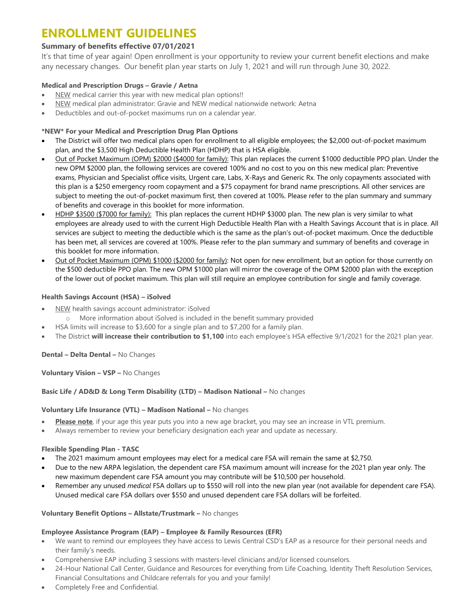## **ENROLLMENT GUIDELINES**

### **Summary of benefits effective 07/01/2021**

It's that time of year again! Open enrollment is your opportunity to review your current benefit elections and make any necessary changes. Our benefit plan year starts on July 1, 2021 and will run through June 30, 2022.

### **Medical and Prescription Drugs – Gravie / Aetna**

- NEW medical carrier this year with new medical plan options!!
- NEW medical plan administrator: Gravie and NEW medical nationwide network: Aetna
- Deductibles and out-of-pocket maximums run on a calendar year.

### **\*NEW\* For your Medical and Prescription Drug Plan Options**

- The District will offer two medical plans open for enrollment to all eligible employees; the \$2,000 out-of-pocket maximum plan, and the \$3,500 High Deductible Health Plan (HDHP) that is HSA eligible.
- Out of Pocket Maximum (OPM) \$2000 (\$4000 for family): This plan replaces the current \$1000 deductible PPO plan. Under the new OPM \$2000 plan, the following services are covered 100% and no cost to you on this new medical plan: Preventive exams, Physician and Specialist office visits, Urgent care, Labs, X-Rays and Generic Rx. The only copayments associated with this plan is a \$250 emergency room copayment and a \$75 copayment for brand name prescriptions. All other services are subject to meeting the out-of-pocket maximum first, then covered at 100%. Please refer to the plan summary and summary of benefits and coverage in this booklet for more information.
- HDHP \$3500 (\$7000 for family): This plan replaces the current HDHP \$3000 plan. The new plan is very similar to what employees are already used to with the current High Deductible Health Plan with a Health Savings Account that is in place. All services are subject to meeting the deductible which is the same as the plan's out-of-pocket maximum. Once the deductible has been met, all services are covered at 100%. Please refer to the plan summary and summary of benefits and coverage in this booklet for more information.
- Out of Pocket Maximum (OPM) \$1000 (\$2000 for family): Not open for new enrollment, but an option for those currently on the \$500 deductible PPO plan. The new OPM \$1000 plan will mirror the coverage of the OPM \$2000 plan with the exception of the lower out of pocket maximum. This plan will still require an employee contribution for single and family coverage.

### **Health Savings Account (HSA) – iSolved**

- NEW health savings account administrator: iSolved
	- o More information about iSolved is included in the benefit summary provided
- HSA limits will increase to \$3,600 for a single plan and to \$7,200 for a family plan.
- The District **will increase their contribution to \$1,100** into each employee's HSA effective 9/1/2021 for the 2021 plan year.

**Dental – Delta Dental –** No Changes

**Voluntary Vision – VSP –** No Changes

#### **Basic Life / AD&D & Long Term Disability (LTD) – Madison National –** No changes

#### **Voluntary Life Insurance (VTL) – Madison National –** No changes

- **Please note**, if your age this year puts you into a new age bracket, you may see an increase in VTL premium.
- Always remember to review your beneficiary designation each year and update as necessary.

#### **Flexible Spending Plan - TASC**

- The 2021 maximum amount employees may elect for a medical care FSA will remain the same at \$2,750.
- Due to the new ARPA legislation, the dependent care FSA maximum amount will increase for the 2021 plan year only. The new maximum dependent care FSA amount you may contribute will be \$10,500 per household.
- Remember any unused *medical* FSA dollars up to \$550 will roll into the new plan year (not available for dependent care FSA). Unused medical care FSA dollars over \$550 and unused dependent care FSA dollars will be forfeited.

#### **Voluntary Benefit Options – Allstate/Trustmark –** No changes

### **Employee Assistance Program (EAP) – Employee & Family Resources (EFR)**

- We want to remind our employees they have access to Lewis Central CSD's EAP as a resource for their personal needs and their family's needs.
- Comprehensive EAP including 3 sessions with masters-level clinicians and/or licensed counselors.
- 24-Hour National Call Center, Guidance and Resources for everything from Life Coaching, Identity Theft Resolution Services, Financial Consultations and Childcare referrals for you and your family!
- Completely Free and Confidential.